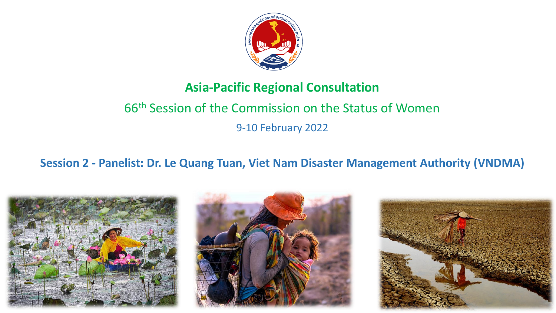

## **Asia-Pacific Regional Consultation**

# 66th Session of the Commission on the Status of Women 9-10 February 2022

### **Session 2 - Panelist: Dr. Le Quang Tuan, Viet Nam Disaster Management Authority (VNDMA)**





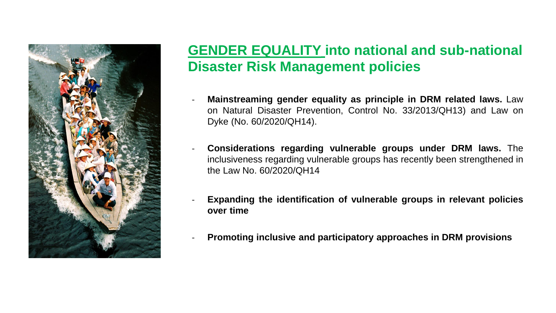

## **GENDER EQUALITY into national and sub-national Disaster Risk Management policies**

- **Mainstreaming gender equality as principle in DRM related laws.** Law on Natural Disaster Prevention, Control No. 33/2013/QH13) and Law on Dyke (No. 60/2020/QH14).
- **Considerations regarding vulnerable groups under DRM laws.** The inclusiveness regarding vulnerable groups has recently been strengthened in the Law No. 60/2020/QH14
- **Expanding the identification of vulnerable groups in relevant policies over time**
- **Promoting inclusive and participatory approaches in DRM provisions**